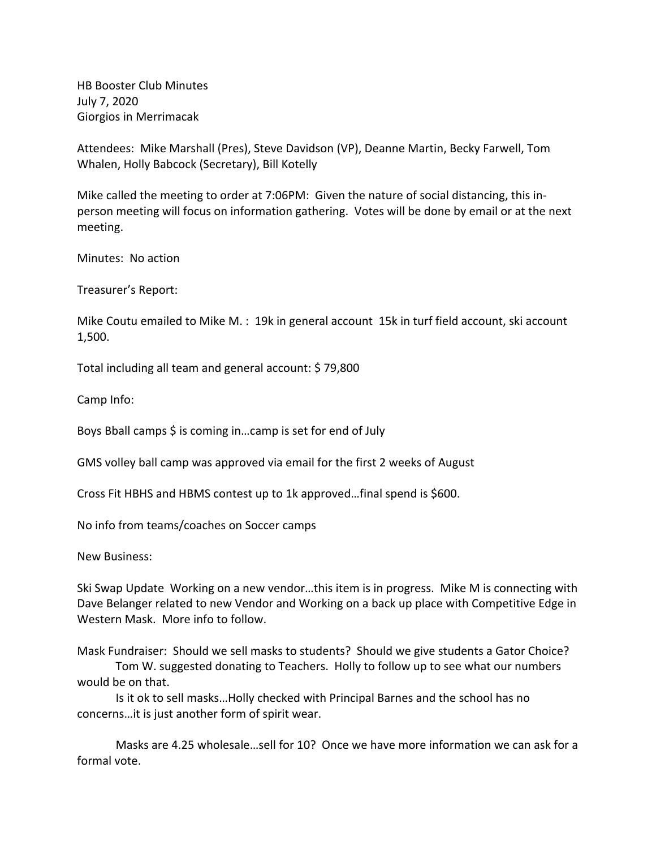HB Booster Club Minutes July 7, 2020 Giorgios in Merrimacak

Attendees: Mike Marshall (Pres), Steve Davidson (VP), Deanne Martin, Becky Farwell, Tom Whalen, Holly Babcock (Secretary), Bill Kotelly

Mike called the meeting to order at 7:06PM: Given the nature of social distancing, this inperson meeting will focus on information gathering. Votes will be done by email or at the next meeting.

Minutes: No action

Treasurer's Report:

Mike Coutu emailed to Mike M. : 19k in general account 15k in turf field account, ski account 1,500.

Total including all team and general account: \$ 79,800

Camp Info:

Boys Bball camps \$ is coming in…camp is set for end of July

GMS volley ball camp was approved via email for the first 2 weeks of August

Cross Fit HBHS and HBMS contest up to 1k approved…final spend is \$600.

No info from teams/coaches on Soccer camps

New Business:

Ski Swap Update Working on a new vendor…this item is in progress. Mike M is connecting with Dave Belanger related to new Vendor and Working on a back up place with Competitive Edge in Western Mask. More info to follow.

Mask Fundraiser: Should we sell masks to students? Should we give students a Gator Choice?

Tom W. suggested donating to Teachers. Holly to follow up to see what our numbers would be on that.

Is it ok to sell masks…Holly checked with Principal Barnes and the school has no concerns…it is just another form of spirit wear.

Masks are 4.25 wholesale…sell for 10? Once we have more information we can ask for a formal vote.